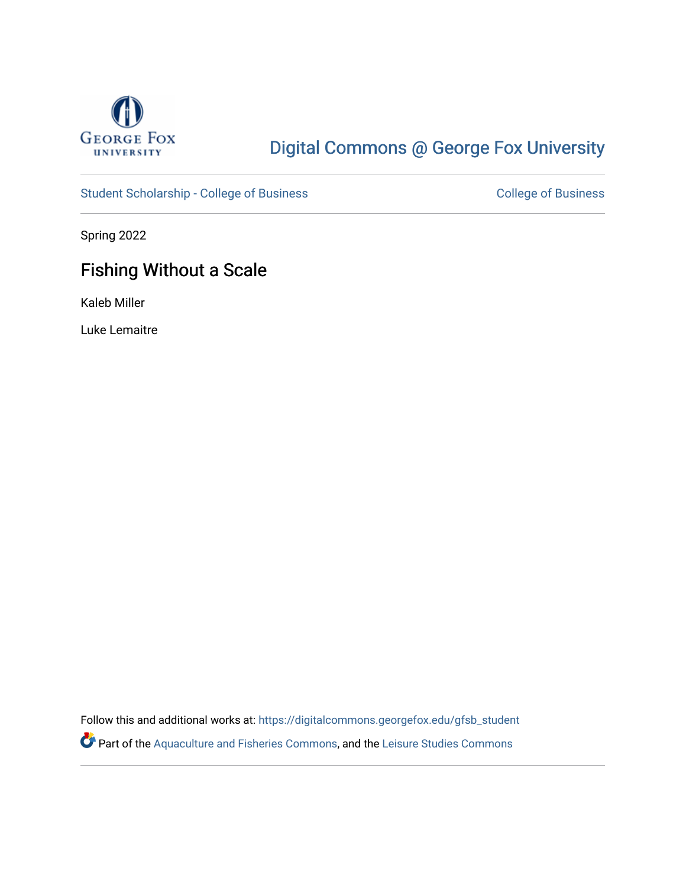

# [Digital Commons @ George Fox University](https://digitalcommons.georgefox.edu/)

[Student Scholarship - College of Business](https://digitalcommons.georgefox.edu/gfsb_student) [College of Business](https://digitalcommons.georgefox.edu/business) College of Business

Spring 2022

# Fishing Without a Scale

Kaleb Miller

Luke Lemaitre

Follow this and additional works at: [https://digitalcommons.georgefox.edu/gfsb\\_student](https://digitalcommons.georgefox.edu/gfsb_student?utm_source=digitalcommons.georgefox.edu%2Fgfsb_student%2F18&utm_medium=PDF&utm_campaign=PDFCoverPages)  Part of the [Aquaculture and Fisheries Commons](https://network.bepress.com/hgg/discipline/78?utm_source=digitalcommons.georgefox.edu%2Fgfsb_student%2F18&utm_medium=PDF&utm_campaign=PDFCoverPages), and the [Leisure Studies Commons](https://network.bepress.com/hgg/discipline/1197?utm_source=digitalcommons.georgefox.edu%2Fgfsb_student%2F18&utm_medium=PDF&utm_campaign=PDFCoverPages)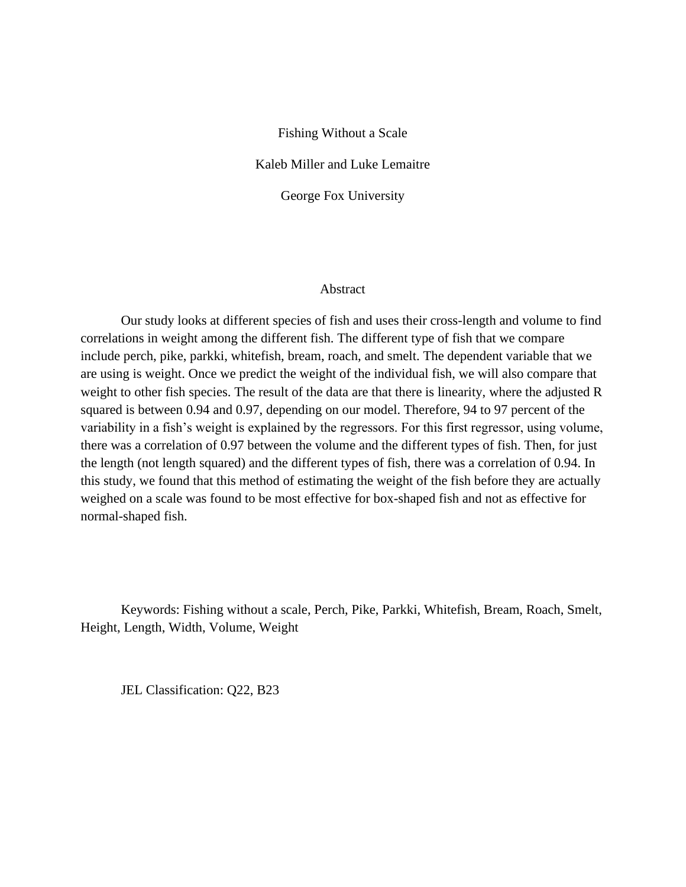#### Fishing Without a Scale

Kaleb Miller and Luke Lemaitre

George Fox University

## Abstract

Our study looks at different species of fish and uses their cross-length and volume to find correlations in weight among the different fish. The different type of fish that we compare include perch, pike, parkki, whitefish, bream, roach, and smelt. The dependent variable that we are using is weight. Once we predict the weight of the individual fish, we will also compare that weight to other fish species. The result of the data are that there is linearity, where the adjusted R squared is between 0.94 and 0.97, depending on our model. Therefore, 94 to 97 percent of the variability in a fish's weight is explained by the regressors. For this first regressor, using volume, there was a correlation of 0.97 between the volume and the different types of fish. Then, for just the length (not length squared) and the different types of fish, there was a correlation of 0.94. In this study, we found that this method of estimating the weight of the fish before they are actually weighed on a scale was found to be most effective for box-shaped fish and not as effective for normal-shaped fish.

Keywords: Fishing without a scale, Perch, Pike, Parkki, Whitefish, Bream, Roach, Smelt, Height, Length, Width, Volume, Weight

JEL Classification: Q22, B23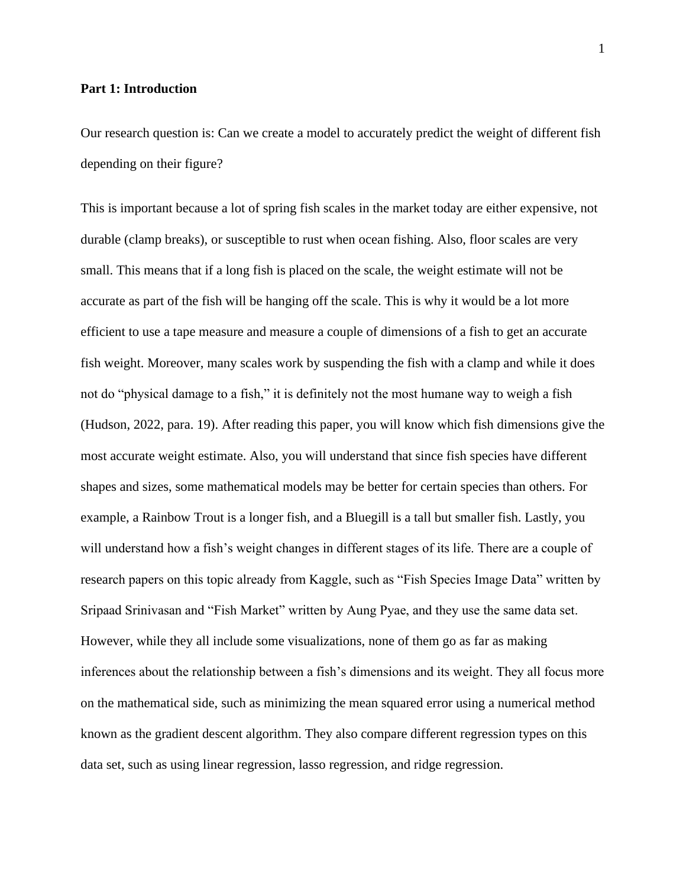#### **Part 1: Introduction**

Our research question is: Can we create a model to accurately predict the weight of different fish depending on their figure?

This is important because a lot of spring fish scales in the market today are either expensive, not durable (clamp breaks), or susceptible to rust when ocean fishing. Also, floor scales are very small. This means that if a long fish is placed on the scale, the weight estimate will not be accurate as part of the fish will be hanging off the scale. This is why it would be a lot more efficient to use a tape measure and measure a couple of dimensions of a fish to get an accurate fish weight. Moreover, many scales work by suspending the fish with a clamp and while it does not do "physical damage to a fish," it is definitely not the most humane way to weigh a fish (Hudson, 2022, para. 19). After reading this paper, you will know which fish dimensions give the most accurate weight estimate. Also, you will understand that since fish species have different shapes and sizes, some mathematical models may be better for certain species than others. For example, a Rainbow Trout is a longer fish, and a Bluegill is a tall but smaller fish. Lastly, you will understand how a fish's weight changes in different stages of its life. There are a couple of research papers on this topic already from Kaggle, such as "Fish Species Image Data" written by Sripaad Srinivasan and "Fish Market" written by Aung Pyae, and they use the same data set. However, while they all include some visualizations, none of them go as far as making inferences about the relationship between a fish's dimensions and its weight. They all focus more on the mathematical side, such as minimizing the mean squared error using a numerical method known as the gradient descent algorithm. They also compare different regression types on this data set, such as using linear regression, lasso regression, and ridge regression.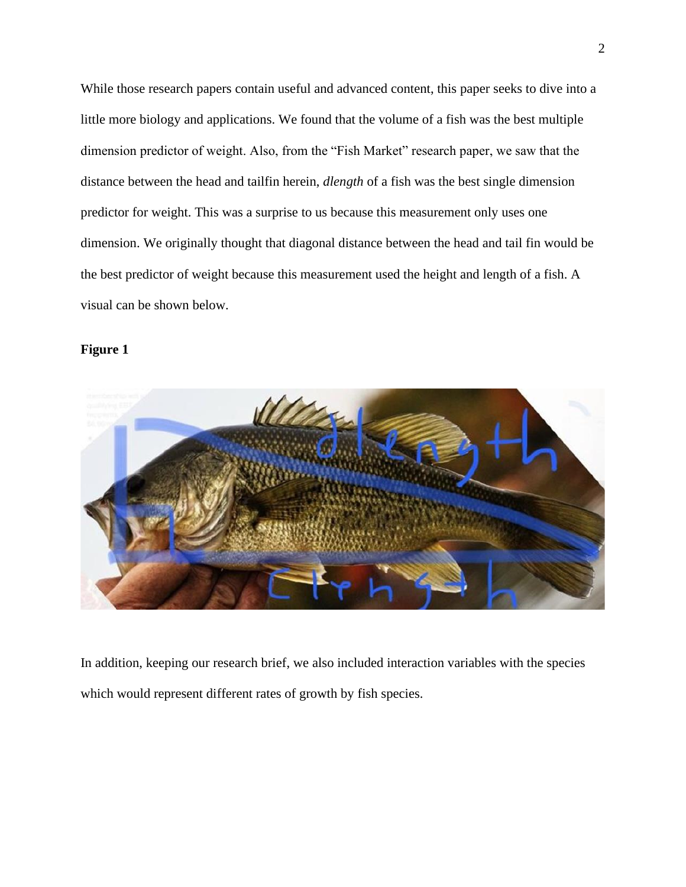While those research papers contain useful and advanced content, this paper seeks to dive into a little more biology and applications. We found that the volume of a fish was the best multiple dimension predictor of weight. Also, from the "Fish Market" research paper, we saw that the distance between the head and tailfin herein, *dlength* of a fish was the best single dimension predictor for weight. This was a surprise to us because this measurement only uses one dimension. We originally thought that diagonal distance between the head and tail fin would be the best predictor of weight because this measurement used the height and length of a fish. A visual can be shown below.

### **Figure 1**



In addition, keeping our research brief, we also included interaction variables with the species which would represent different rates of growth by fish species.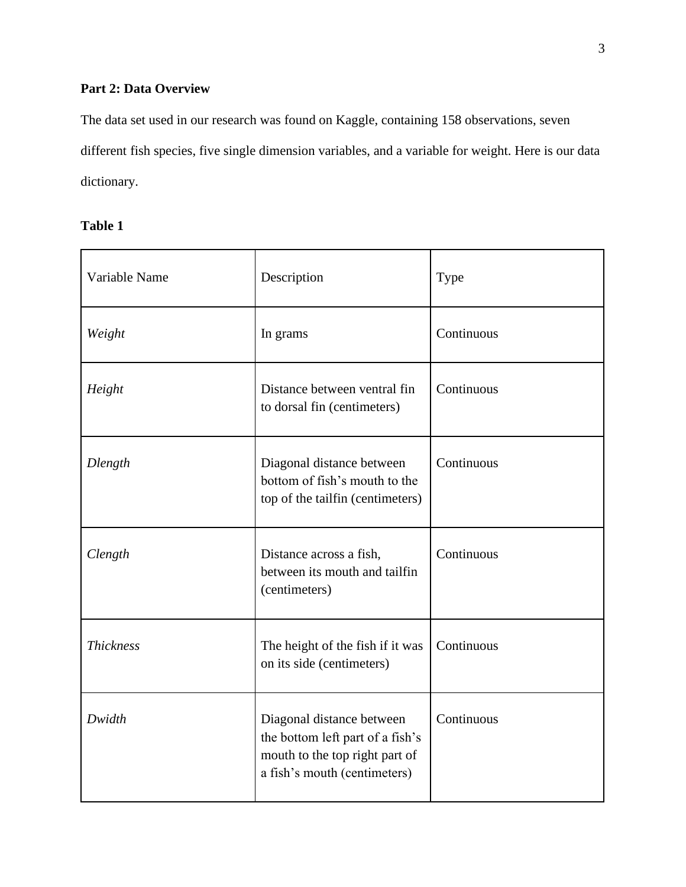# **Part 2: Data Overview**

The data set used in our research was found on Kaggle, containing 158 observations, seven different fish species, five single dimension variables, and a variable for weight. Here is our data dictionary.

# **Table 1**

| Variable Name    | Description                                                                                                                     | Type       |
|------------------|---------------------------------------------------------------------------------------------------------------------------------|------------|
| Weight           | In grams                                                                                                                        | Continuous |
| Height           | Distance between ventral fin<br>to dorsal fin (centimeters)                                                                     | Continuous |
| Dlength          | Diagonal distance between<br>bottom of fish's mouth to the<br>top of the tailfin (centimeters)                                  | Continuous |
| Clength          | Distance across a fish,<br>between its mouth and tailfin<br>(centimeters)                                                       | Continuous |
| <b>Thickness</b> | The height of the fish if it was<br>on its side (centimeters)                                                                   | Continuous |
| Dwidth           | Diagonal distance between<br>the bottom left part of a fish's<br>mouth to the top right part of<br>a fish's mouth (centimeters) | Continuous |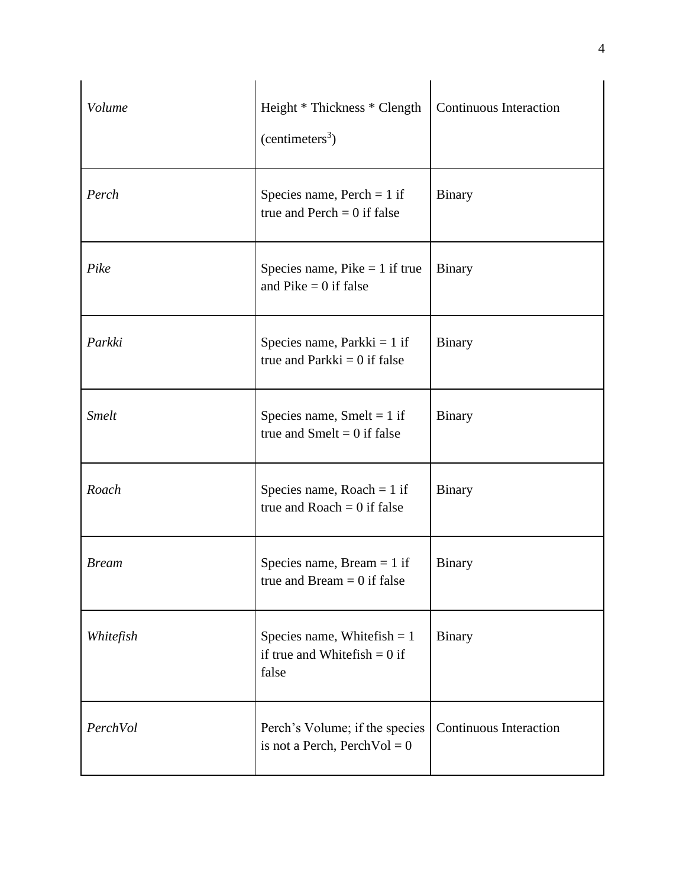| Volume       | Height * Thickness * Clength<br>(centimeters <sup>3</sup> )                | <b>Continuous Interaction</b> |
|--------------|----------------------------------------------------------------------------|-------------------------------|
| Perch        | Species name, Perch $= 1$ if<br>true and Perch $= 0$ if false              | <b>Binary</b>                 |
| Pike         | Species name, $Pike = 1$ if true<br>and Pike $= 0$ if false                | <b>Binary</b>                 |
| Parkki       | Species name, Parkki $= 1$ if<br>true and Parkki $= 0$ if false            | <b>Binary</b>                 |
| <b>Smelt</b> | Species name, Smelt = $1$ if<br>true and Smelt = $0$ if false              | <b>Binary</b>                 |
| Roach        | Species name, Roach = $1$ if<br>true and Roach $= 0$ if false              | <b>Binary</b>                 |
| <b>Bream</b> | Species name, Bream $= 1$ if<br>true and Bream $= 0$ if false              | <b>Binary</b>                 |
| Whitefish    | Species name, White $fish = 1$<br>if true and White fish $= 0$ if<br>false | <b>Binary</b>                 |
| PerchVol     | Perch's Volume; if the species<br>is not a Perch, PerchVol = $0$           | <b>Continuous Interaction</b> |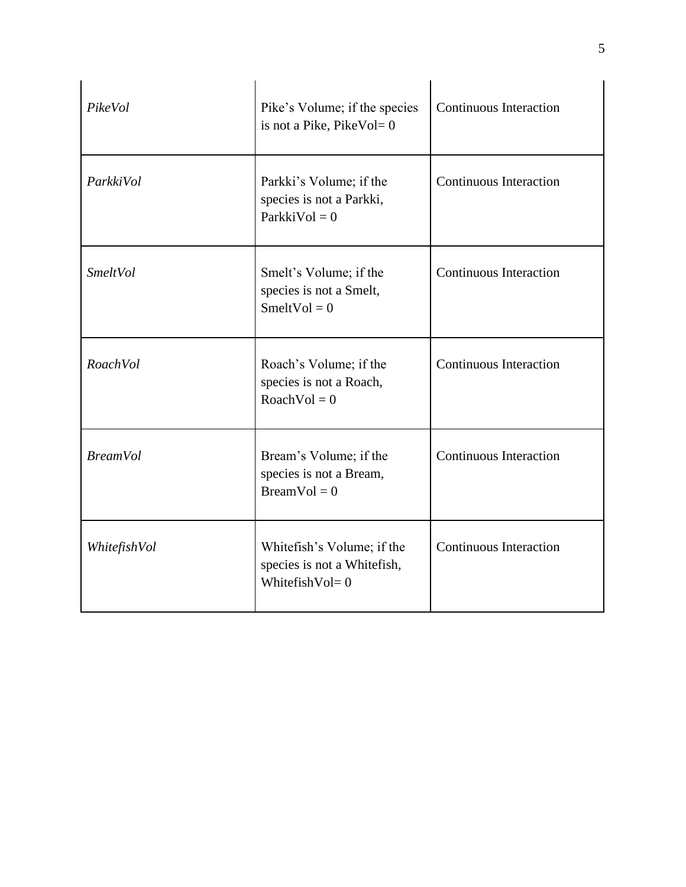| PikeVol         | Pike's Volume; if the species<br>is not a Pike, PikeVol=0                        | <b>Continuous Interaction</b> |
|-----------------|----------------------------------------------------------------------------------|-------------------------------|
| ParkkiVol       | Parkki's Volume; if the<br>species is not a Parkki,<br>$ParkkiVol = 0$           | <b>Continuous Interaction</b> |
| SmeltVol        | Smelt's Volume; if the<br>species is not a Smelt,<br>SmeltVol = $0$              | <b>Continuous Interaction</b> |
| RoachVol        | Roach's Volume; if the<br>species is not a Roach,<br>$RoachVol = 0$              | <b>Continuous Interaction</b> |
| <b>BreamVol</b> | Bream's Volume; if the<br>species is not a Bream,<br>$BreamVol = 0$              | <b>Continuous Interaction</b> |
| WhitefishVol    | Whitefish's Volume; if the<br>species is not a Whitefish,<br>Whitefish $Vol = 0$ | <b>Continuous Interaction</b> |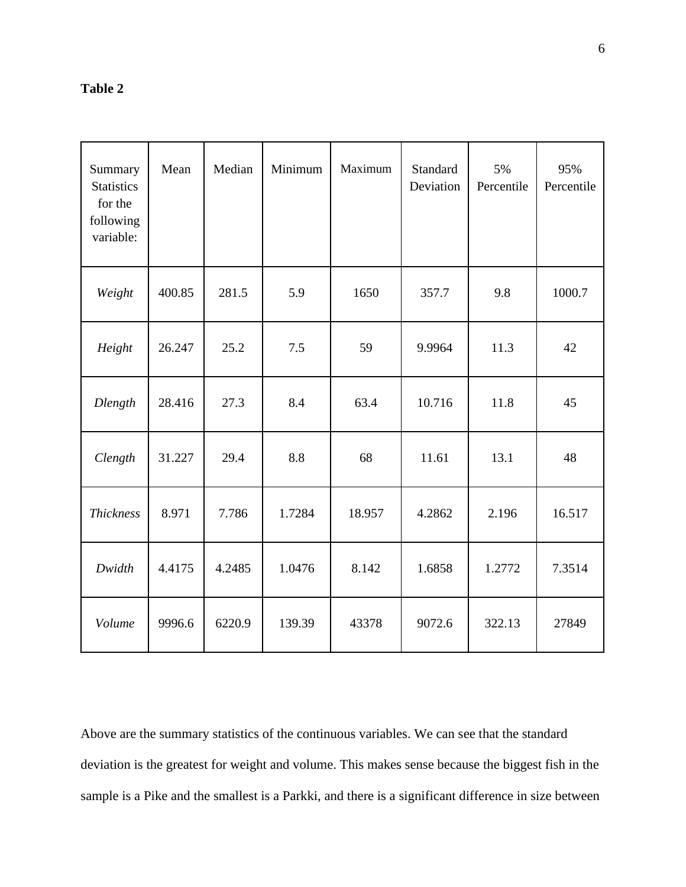# **Table 2**

| Summary<br><b>Statistics</b><br>for the<br>following<br>variable: | Mean   | Median | Minimum | Maximum | Standard<br>Deviation | 5%<br>Percentile | 95%<br>Percentile |
|-------------------------------------------------------------------|--------|--------|---------|---------|-----------------------|------------------|-------------------|
| Weight                                                            | 400.85 | 281.5  | 5.9     | 1650    | 357.7                 | 9.8              | 1000.7            |
| Height                                                            | 26.247 | 25.2   | 7.5     | 59      | 9.9964                | 11.3             | 42                |
| Dlength                                                           | 28.416 | 27.3   | 8.4     | 63.4    | 10.716                | 11.8             | 45                |
| Clength                                                           | 31.227 | 29.4   | 8.8     | 68      | 11.61                 | 13.1             | 48                |
| <b>Thickness</b>                                                  | 8.971  | 7.786  | 1.7284  | 18.957  | 4.2862                | 2.196            | 16.517            |
| Dwidth                                                            | 4.4175 | 4.2485 | 1.0476  | 8.142   | 1.6858                | 1.2772           | 7.3514            |
| Volume                                                            | 9996.6 | 6220.9 | 139.39  | 43378   | 9072.6                | 322.13           | 27849             |

Above are the summary statistics of the continuous variables. We can see that the standard deviation is the greatest for weight and volume. This makes sense because the biggest fish in the sample is a Pike and the smallest is a Parkki, and there is a significant difference in size between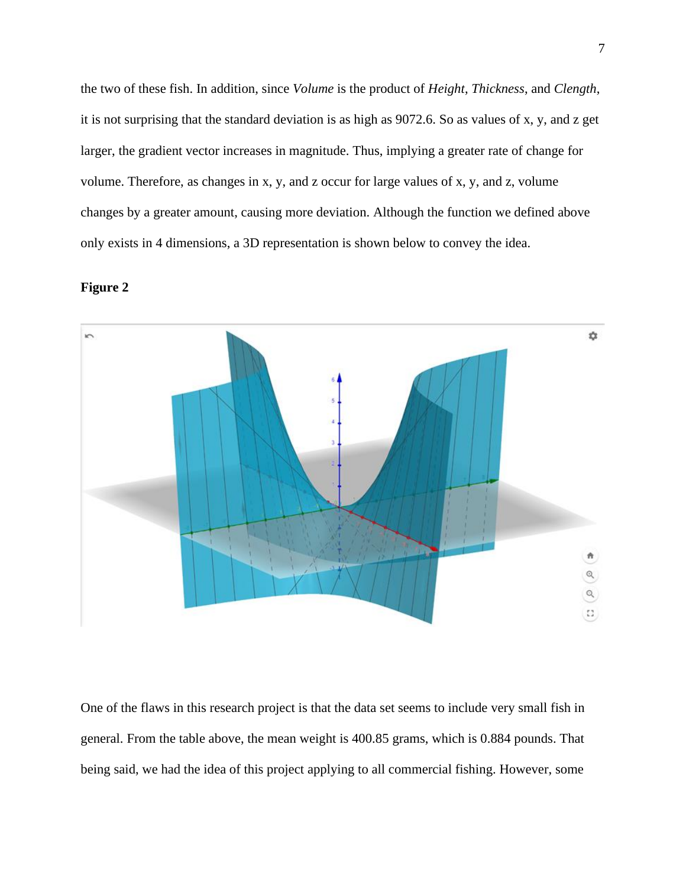the two of these fish. In addition, since *Volume* is the product of *Height*, *Thickness*, and *Clength*, it is not surprising that the standard deviation is as high as 9072.6. So as values of x, y, and z get larger, the gradient vector increases in magnitude. Thus, implying a greater rate of change for volume. Therefore, as changes in x, y, and z occur for large values of x, y, and z, volume changes by a greater amount, causing more deviation. Although the function we defined above only exists in 4 dimensions, a 3D representation is shown below to convey the idea.





One of the flaws in this research project is that the data set seems to include very small fish in general. From the table above, the mean weight is 400.85 grams, which is 0.884 pounds. That being said, we had the idea of this project applying to all commercial fishing. However, some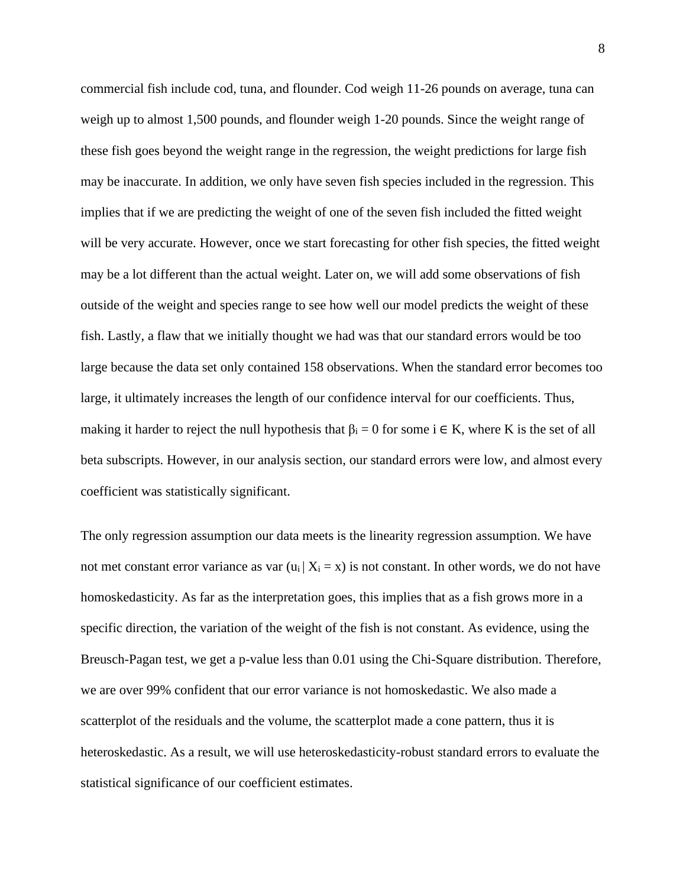commercial fish include cod, tuna, and flounder. Cod weigh 11-26 pounds on average, tuna can weigh up to almost 1,500 pounds, and flounder weigh 1-20 pounds. Since the weight range of these fish goes beyond the weight range in the regression, the weight predictions for large fish may be inaccurate. In addition, we only have seven fish species included in the regression. This implies that if we are predicting the weight of one of the seven fish included the fitted weight will be very accurate. However, once we start forecasting for other fish species, the fitted weight may be a lot different than the actual weight. Later on, we will add some observations of fish outside of the weight and species range to see how well our model predicts the weight of these fish. Lastly, a flaw that we initially thought we had was that our standard errors would be too large because the data set only contained 158 observations. When the standard error becomes too large, it ultimately increases the length of our confidence interval for our coefficients. Thus, making it harder to reject the null hypothesis that  $\beta_i = 0$  for some  $i \in K$ , where K is the set of all beta subscripts. However, in our analysis section, our standard errors were low, and almost every coefficient was statistically significant.

The only regression assumption our data meets is the linearity regression assumption. We have not met constant error variance as var  $(u_i | X_i = x)$  is not constant. In other words, we do not have homoskedasticity. As far as the interpretation goes, this implies that as a fish grows more in a specific direction, the variation of the weight of the fish is not constant. As evidence, using the Breusch-Pagan test, we get a p-value less than 0.01 using the Chi-Square distribution. Therefore, we are over 99% confident that our error variance is not homoskedastic. We also made a scatterplot of the residuals and the volume, the scatterplot made a cone pattern, thus it is heteroskedastic. As a result, we will use heteroskedasticity-robust standard errors to evaluate the statistical significance of our coefficient estimates.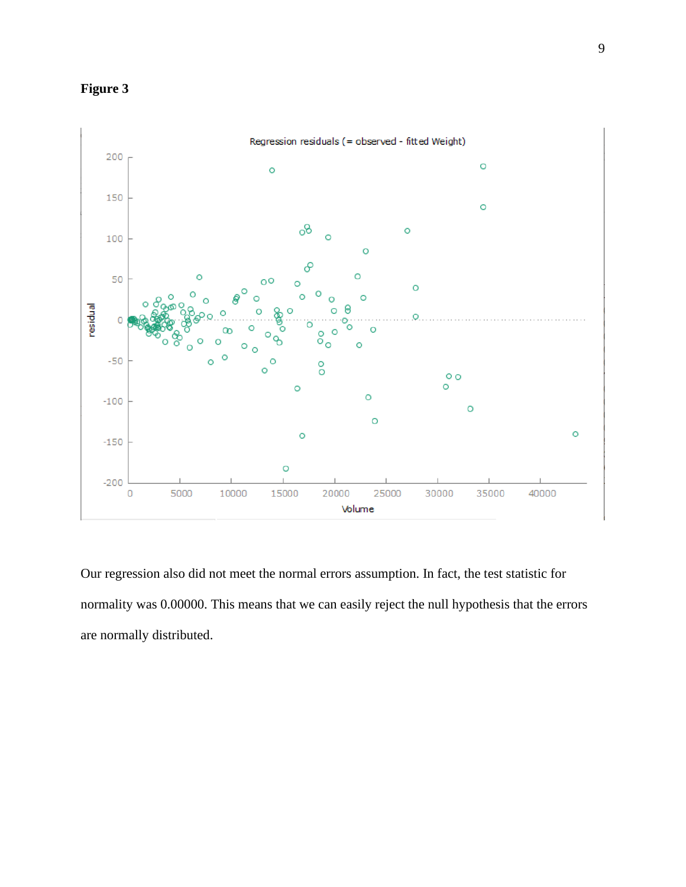



Our regression also did not meet the normal errors assumption. In fact, the test statistic for normality was 0.00000. This means that we can easily reject the null hypothesis that the errors are normally distributed.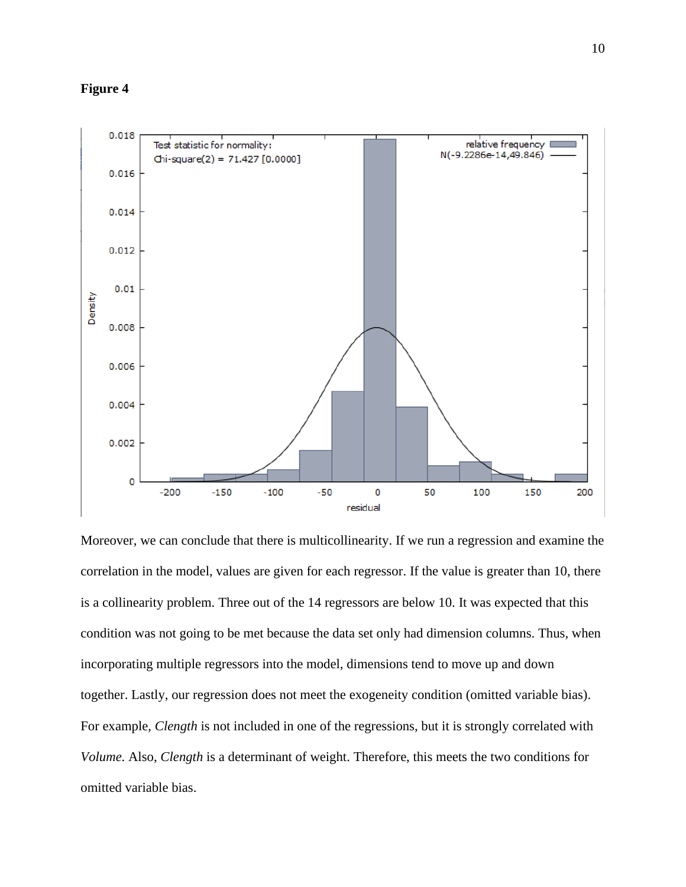

Moreover, we can conclude that there is multicollinearity. If we run a regression and examine the correlation in the model, values are given for each regressor. If the value is greater than 10, there is a collinearity problem. Three out of the 14 regressors are below 10. It was expected that this condition was not going to be met because the data set only had dimension columns. Thus, when incorporating multiple regressors into the model, dimensions tend to move up and down together. Lastly, our regression does not meet the exogeneity condition (omitted variable bias). For example, *Clength* is not included in one of the regressions, but it is strongly correlated with *Volume*. Also, *Clength* is a determinant of weight. Therefore, this meets the two conditions for omitted variable bias.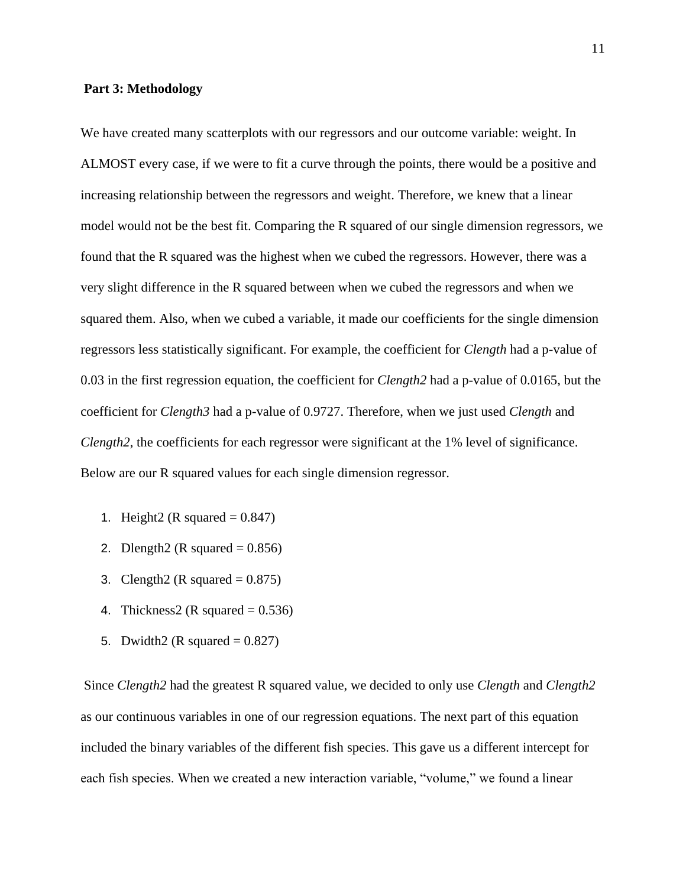#### **Part 3: Methodology**

We have created many scatterplots with our regressors and our outcome variable: weight. In ALMOST every case, if we were to fit a curve through the points, there would be a positive and increasing relationship between the regressors and weight. Therefore, we knew that a linear model would not be the best fit. Comparing the R squared of our single dimension regressors, we found that the R squared was the highest when we cubed the regressors. However, there was a very slight difference in the R squared between when we cubed the regressors and when we squared them. Also, when we cubed a variable, it made our coefficients for the single dimension regressors less statistically significant. For example, the coefficient for *Clength* had a p-value of 0.03 in the first regression equation, the coefficient for *Clength2* had a p-value of 0.0165, but the coefficient for *Clength3* had a p-value of 0.9727. Therefore, when we just used *Clength* and *Clength2*, the coefficients for each regressor were significant at the 1% level of significance. Below are our R squared values for each single dimension regressor.

- 1. Height2 (R squared  $= 0.847$ )
- 2. Dlength2 (R squared  $= 0.856$ )
- 3. Clength2 (R squared  $= 0.875$ )
- 4. Thickness2 (R squared  $= 0.536$ )
- 5. Dwidth2 (R squared  $= 0.827$ )

Since *Clength2* had the greatest R squared value, we decided to only use *Clength* and *Clength2*  as our continuous variables in one of our regression equations. The next part of this equation included the binary variables of the different fish species. This gave us a different intercept for each fish species. When we created a new interaction variable, "volume," we found a linear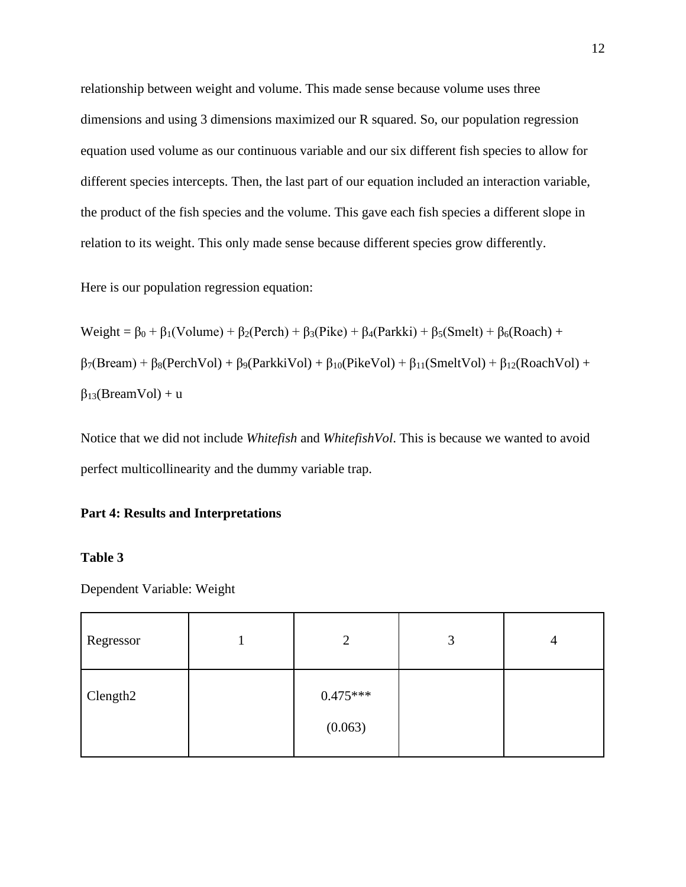relationship between weight and volume. This made sense because volume uses three dimensions and using 3 dimensions maximized our R squared. So, our population regression equation used volume as our continuous variable and our six different fish species to allow for different species intercepts. Then, the last part of our equation included an interaction variable, the product of the fish species and the volume. This gave each fish species a different slope in relation to its weight. This only made sense because different species grow differently.

Here is our population regression equation:

Weight =  $\beta_0 + \beta_1$ (Volume) +  $\beta_2$ (Perch) +  $\beta_3$ (Pike) +  $\beta_4$ (Parkki) +  $\beta_5$ (Smelt) +  $\beta_6$ (Roach) +  $\beta$ <sub>7</sub>(Bream) +  $\beta_8$ (PerchVol) +  $\beta_9$ (ParkkiVol) +  $\beta_{10}$ (PikeVol) +  $\beta_{11}$ (SmeltVol) +  $\beta_{12}$ (RoachVol) +  $\beta_{13}$ (BreamVol) + u

Notice that we did not include *Whitefish* and *WhitefishVol*. This is because we wanted to avoid perfect multicollinearity and the dummy variable trap.

## **Part 4: Results and Interpretations**

## **Table 3**

Dependent Variable: Weight

| Regressor            | $\gamma$              | 3 | 4 |
|----------------------|-----------------------|---|---|
| Clength <sub>2</sub> | $0.475***$<br>(0.063) |   |   |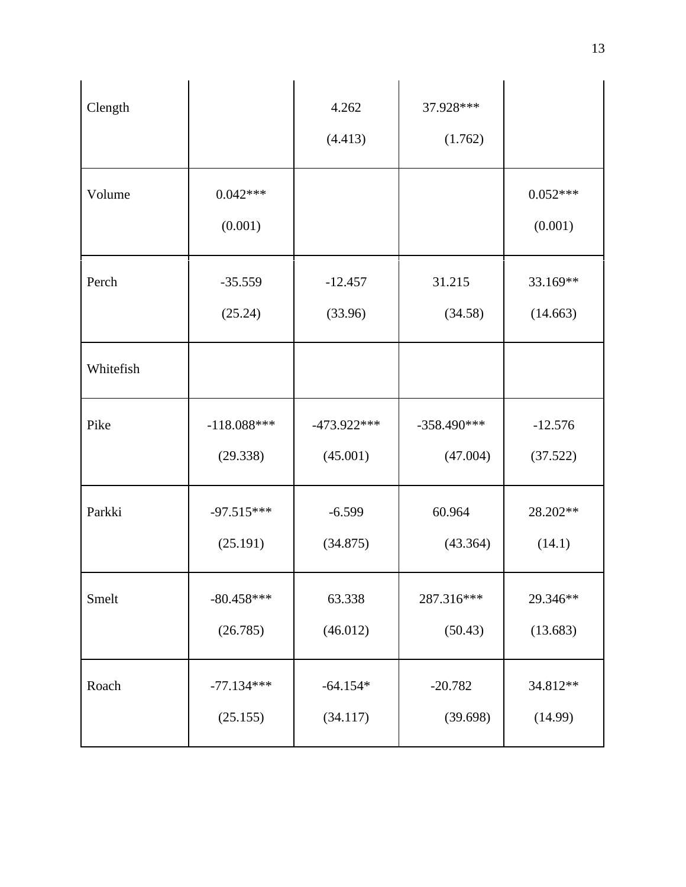| Clength   |                       | 4.262<br>(4.413) | 37.928 ***<br>(1.762) |                       |
|-----------|-----------------------|------------------|-----------------------|-----------------------|
| Volume    | $0.042***$<br>(0.001) |                  |                       | $0.052***$<br>(0.001) |
| Perch     | $-35.559$             | $-12.457$        | 31.215                | 33.169**              |
|           | (25.24)               | (33.96)          | (34.58)               | (14.663)              |
| Whitefish |                       |                  |                       |                       |
| Pike      | $-118.088***$         | $-473.922***$    | $-358.490***$         | $-12.576$             |
|           | (29.338)              | (45.001)         | (47.004)              | (37.522)              |
| Parkki    | $-97.515***$          | $-6.599$         | 60.964                | 28.202**              |
|           | (25.191)              | (34.875)         | (43.364)              | (14.1)                |
| Smelt     | $-80.458***$          | 63.338           | 287.316***            | 29.346**              |
|           | (26.785)              | (46.012)         | (50.43)               | (13.683)              |
| Roach     | $-77.134***$          | $-64.154*$       | $-20.782$             | 34.812**              |
|           | (25.155)              | (34.117)         | (39.698)              | (14.99)               |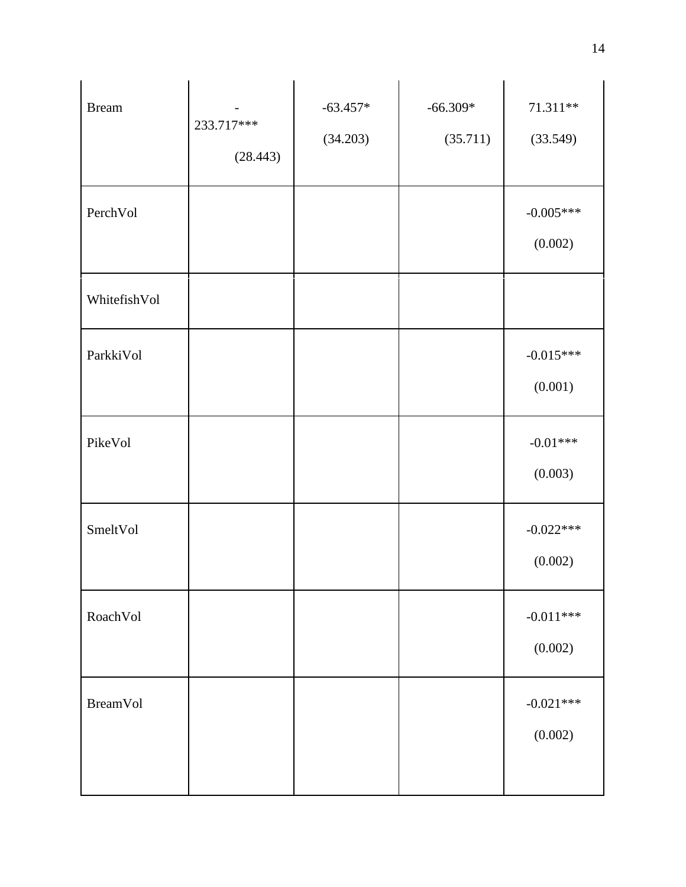| <b>Bream</b>    | 233.717***<br>(28.443) | $-63.457*$<br>(34.203) | $-66.309*$<br>(35.711) | $71.311**$<br>(33.549) |
|-----------------|------------------------|------------------------|------------------------|------------------------|
| PerchVol        |                        |                        |                        | $-0.005***$<br>(0.002) |
| WhitefishVol    |                        |                        |                        |                        |
| ParkkiVol       |                        |                        |                        | $-0.015***$<br>(0.001) |
| PikeVol         |                        |                        |                        | $-0.01***$<br>(0.003)  |
| SmeltVol        |                        |                        |                        | $-0.022***$<br>(0.002) |
| RoachVol        |                        |                        |                        | $-0.011***$<br>(0.002) |
| <b>BreamVol</b> |                        |                        |                        | $-0.021***$<br>(0.002) |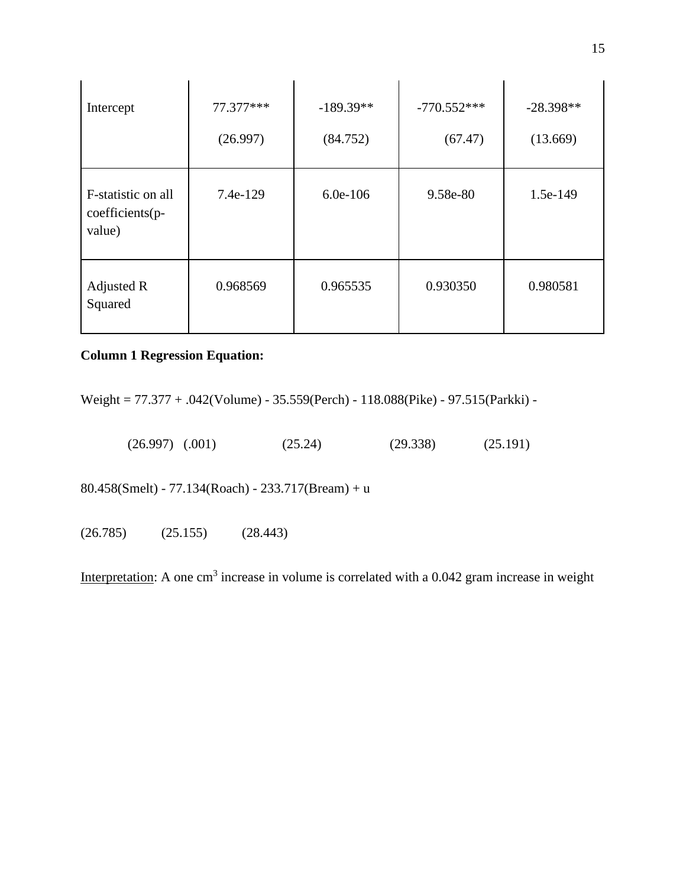| Intercept                                       | 77.377***<br>(26.997) | $-189.39**$<br>(84.752) | $-770.552***$<br>(67.47) | $-28.398**$<br>(13.669) |
|-------------------------------------------------|-----------------------|-------------------------|--------------------------|-------------------------|
| F-statistic on all<br>coefficients(p-<br>value) | 7.4e-129              | $6.0e-106$              | 9.58e-80                 | 1.5e-149                |
| Adjusted R<br>Squared                           | 0.968569              | 0.965535                | 0.930350                 | 0.980581                |

# **Column 1 Regression Equation:**

Weight = 77.377 + .042(Volume) - 35.559(Perch) - 118.088(Pike) - 97.515(Parkki) -

(26.997) (.001) (25.24) (29.338) (25.191)

80.458(Smelt) - 77.134(Roach) - 233.717(Bream) + u

(26.785) (25.155) (28.443)

Interpretation: A one cm<sup>3</sup> increase in volume is correlated with a  $0.042$  gram increase in weight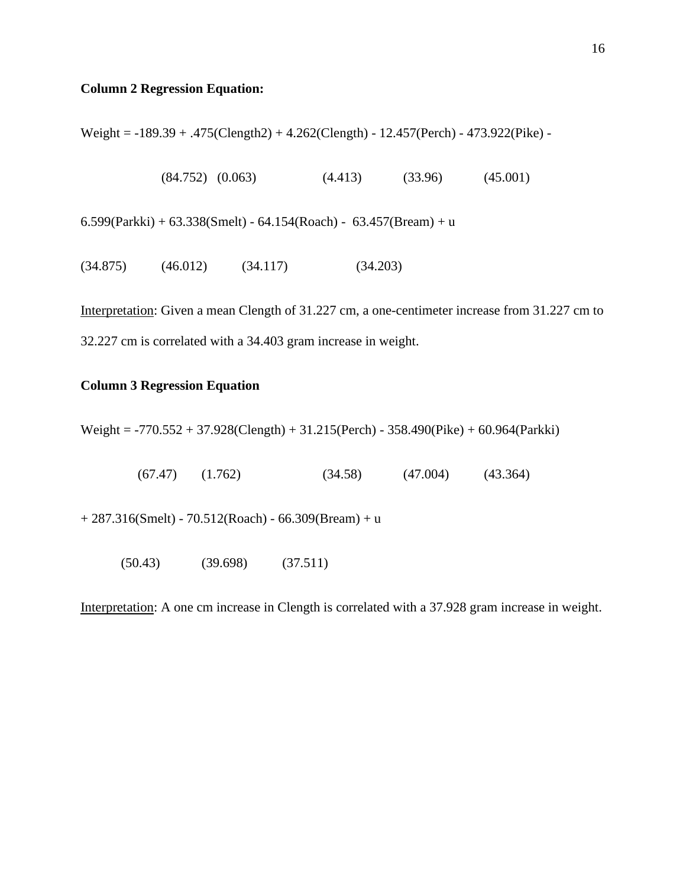# **Column 2 Regression Equation:**

Weight = -189.39 + .475(Clength2) + 4.262(Clength) - 12.457(Perch) - 473.922(Pike) -

 $(84.752)$   $(0.063)$   $(4.413)$   $(33.96)$   $(45.001)$ 

 $6.599$ (Parkki) +  $63.338$ (Smelt) -  $64.154$ (Roach) -  $63.457$ (Bream) + u

 $(34.875)$   $(46.012)$   $(34.117)$   $(34.203)$ 

Interpretation: Given a mean Clength of 31.227 cm, a one-centimeter increase from 31.227 cm to 32.227 cm is correlated with a 34.403 gram increase in weight.

# **Column 3 Regression Equation**

Weight = -770.552 + 37.928(Clength) + 31.215(Perch) - 358.490(Pike) + 60.964(Parkki)

 $(67.47)$   $(1.762)$   $(34.58)$   $(47.004)$   $(43.364)$ 

 $+ 287.316$ (Smelt) - 70.512(Roach) - 66.309(Bream) + u

(50.43) (39.698) (37.511)

Interpretation: A one cm increase in Clength is correlated with a 37.928 gram increase in weight.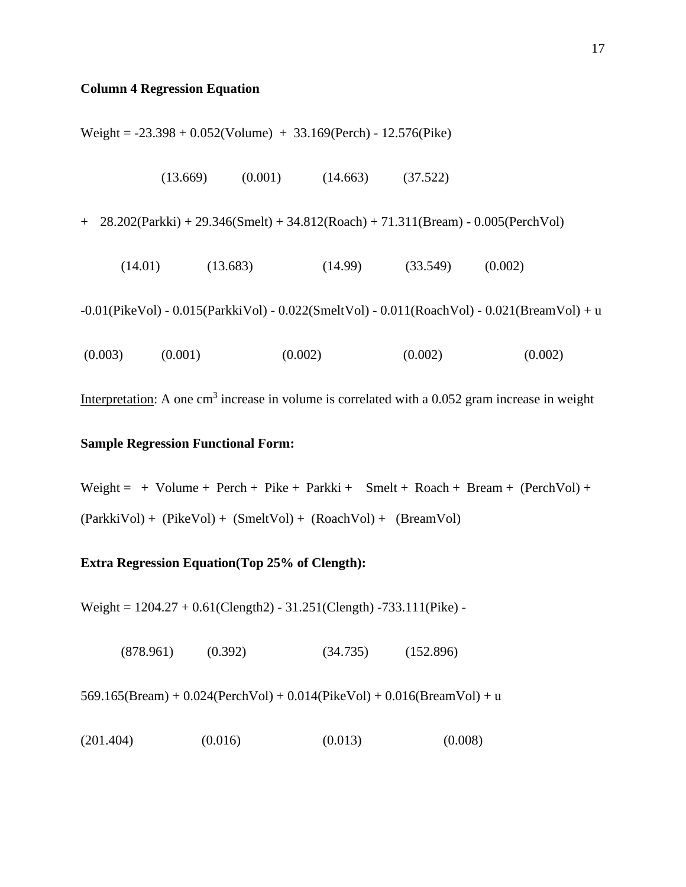### **Column 4 Regression Equation**

Weight = -23.398 + 0.052(Volume) + 33.169(Perch) - 12.576(Pike)

| (13.669) | (0.001) | (14.663) | (37.522) |
|----------|---------|----------|----------|
|----------|---------|----------|----------|

+ 28.202(Parkki) + 29.346(Smelt) + 34.812(Roach) + 71.311(Bream) - 0.005(PerchVol)

 $(14.01)$   $(13.683)$   $(14.99)$   $(33.549)$   $(0.002)$ 

-0.01(PikeVol) - 0.015(ParkkiVol) - 0.022(SmeltVol) - 0.011(RoachVol) - 0.021(BreamVol) + u

 $(0.003)$   $(0.001)$   $(0.002)$   $(0.002)$   $(0.002)$ 

Interpretation: A one cm<sup>3</sup> increase in volume is correlated with a  $0.052$  gram increase in weight

# **Sample Regression Functional Form:**

Weight = + Volume + Perch + Pike + Parkki + Smelt + Roach + Bream + (PerchVol) + (ParkkiVol) + (PikeVol) + (SmeltVol) + (RoachVol) + (BreamVol)

## **Extra Regression Equation(Top 25% of Clength):**

Weight =  $1204.27 + 0.61$ (Clength2) -  $31.251$ (Clength) -733.111(Pike) -

(878.961) (0.392) (34.735) (152.896)

 $569.165(Bream) + 0.024(PerchVol) + 0.014(PikeVol) + 0.016(BreamVol) + u$ 

 $(201.404)$   $(0.016)$   $(0.013)$   $(0.008)$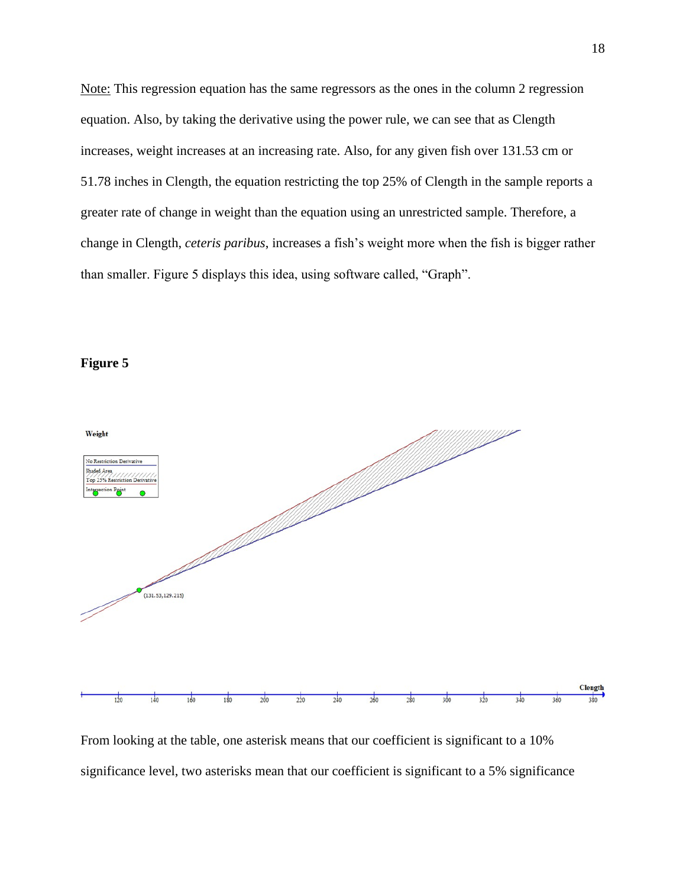Note: This regression equation has the same regressors as the ones in the column 2 regression equation. Also, by taking the derivative using the power rule, we can see that as Clength increases, weight increases at an increasing rate. Also, for any given fish over 131.53 cm or 51.78 inches in Clength, the equation restricting the top 25% of Clength in the sample reports a greater rate of change in weight than the equation using an unrestricted sample. Therefore, a change in Clength, *ceteris paribus*, increases a fish's weight more when the fish is bigger rather than smaller. Figure 5 displays this idea, using software called, "Graph".





From looking at the table, one asterisk means that our coefficient is significant to a 10% significance level, two asterisks mean that our coefficient is significant to a 5% significance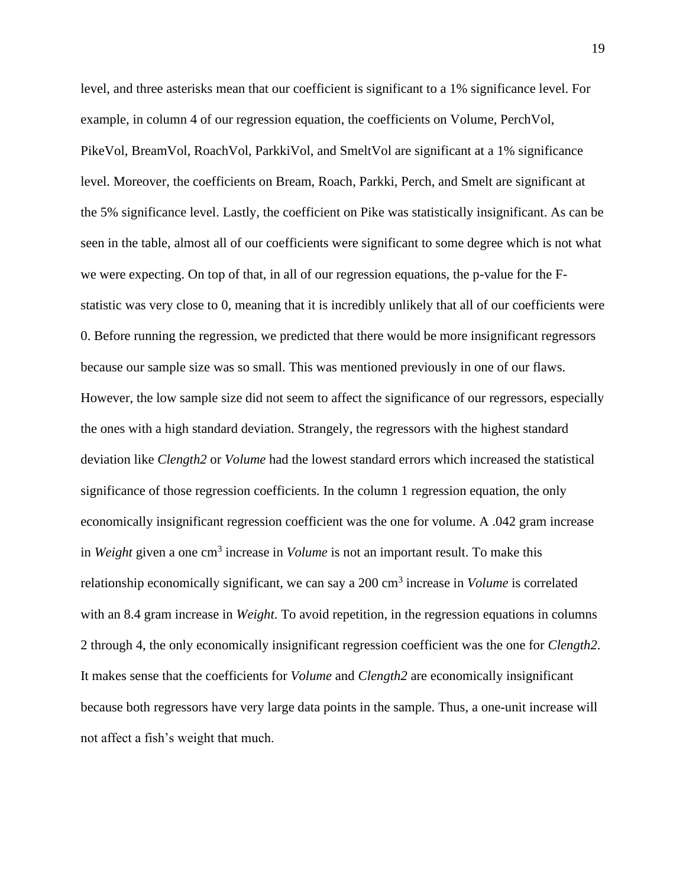level, and three asterisks mean that our coefficient is significant to a 1% significance level. For example, in column 4 of our regression equation, the coefficients on Volume, PerchVol, PikeVol, BreamVol, RoachVol, ParkkiVol, and SmeltVol are significant at a 1% significance level. Moreover, the coefficients on Bream, Roach, Parkki, Perch, and Smelt are significant at the 5% significance level. Lastly, the coefficient on Pike was statistically insignificant. As can be seen in the table, almost all of our coefficients were significant to some degree which is not what we were expecting. On top of that, in all of our regression equations, the p-value for the Fstatistic was very close to 0, meaning that it is incredibly unlikely that all of our coefficients were 0. Before running the regression, we predicted that there would be more insignificant regressors because our sample size was so small. This was mentioned previously in one of our flaws. However, the low sample size did not seem to affect the significance of our regressors, especially the ones with a high standard deviation. Strangely, the regressors with the highest standard deviation like *Clength2* or *Volume* had the lowest standard errors which increased the statistical significance of those regression coefficients. In the column 1 regression equation, the only economically insignificant regression coefficient was the one for volume. A .042 gram increase in *Weight* given a one cm<sup>3</sup> increase in *Volume* is not an important result. To make this relationship economically significant, we can say a 200 cm<sup>3</sup> increase in *Volume* is correlated with an 8.4 gram increase in *Weight*. To avoid repetition, in the regression equations in columns 2 through 4, the only economically insignificant regression coefficient was the one for *Clength2*. It makes sense that the coefficients for *Volume* and *Clength2* are economically insignificant because both regressors have very large data points in the sample. Thus, a one-unit increase will not affect a fish's weight that much.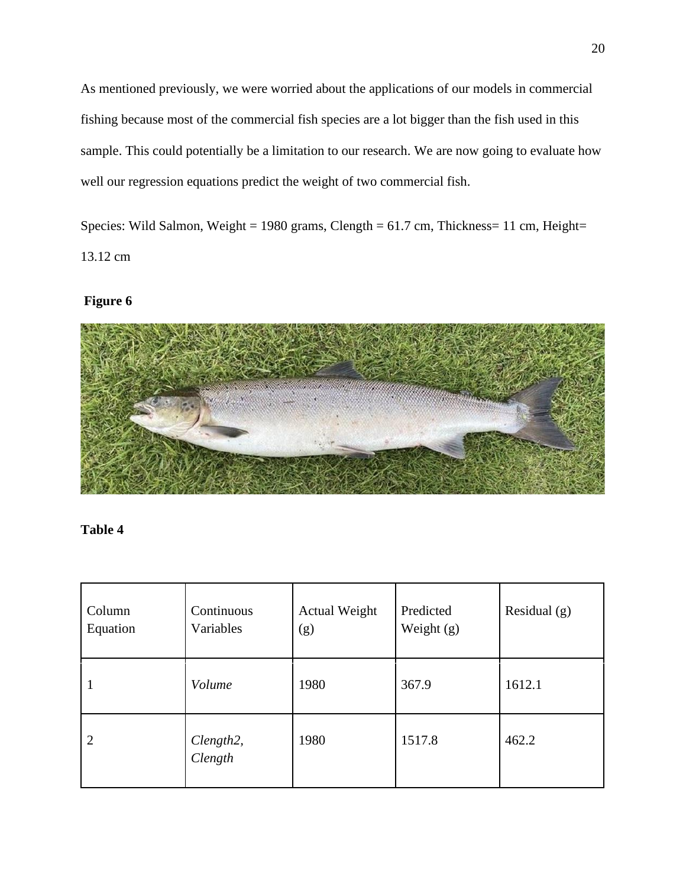As mentioned previously, we were worried about the applications of our models in commercial fishing because most of the commercial fish species are a lot bigger than the fish used in this sample. This could potentially be a limitation to our research. We are now going to evaluate how well our regression equations predict the weight of two commercial fish.

Species: Wild Salmon, Weight = 1980 grams, Clength =  $61.7$  cm, Thickness= 11 cm, Height= 13.12 cm

# **Figure 6**



# **Table 4**

| Column<br>Equation | Continuous<br>Variables | <b>Actual Weight</b><br>(g) | Predicted<br>Weight $(g)$ | Residual $(g)$ |
|--------------------|-------------------------|-----------------------------|---------------------------|----------------|
| п                  | Volume                  | 1980                        | 367.9                     | 1612.1         |
| $\overline{2}$     | Clength2,<br>Clength    | 1980                        | 1517.8                    | 462.2          |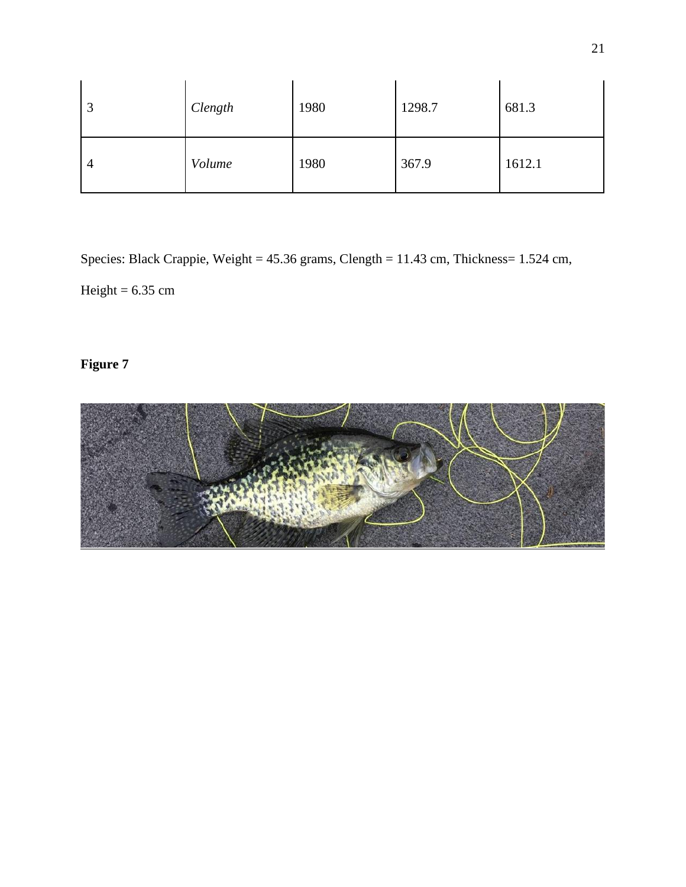| 3              | Clength | 1980 | 1298.7 | 681.3  |
|----------------|---------|------|--------|--------|
| $\overline{4}$ | Volume  | 1980 | 367.9  | 1612.1 |

Species: Black Crappie, Weight = 45.36 grams, Clength = 11.43 cm, Thickness= 1.524 cm,

Height =  $6.35$  cm

# **Figure 7**

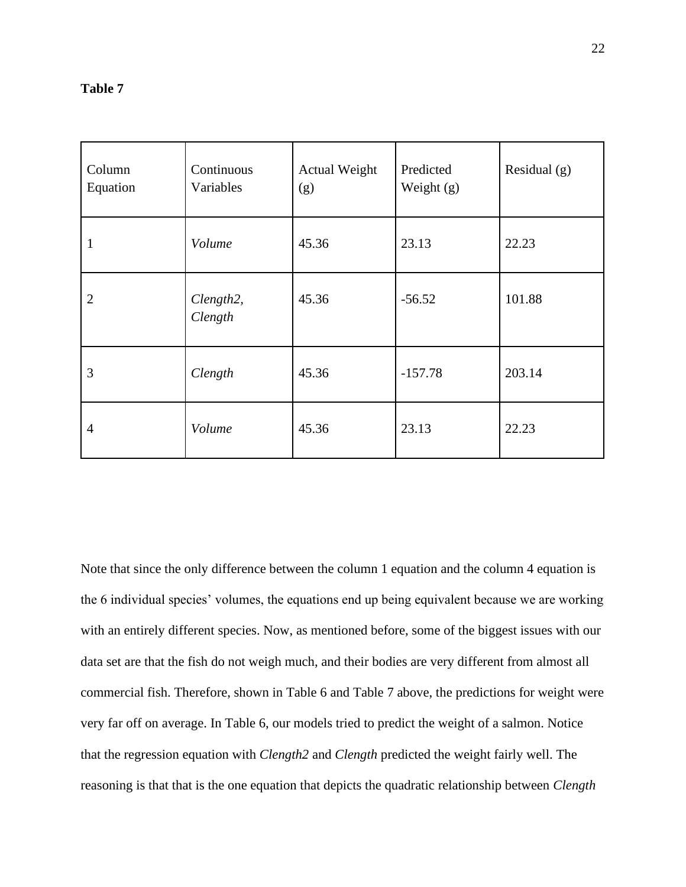# **Table 7**

| Column<br>Equation | Continuous<br>Variables           | <b>Actual Weight</b><br>(g) | Predicted<br>Weight (g) | Residual $(g)$ |
|--------------------|-----------------------------------|-----------------------------|-------------------------|----------------|
| $\mathbf{1}$       | Volume                            | 45.36                       | 23.13                   | 22.23          |
| $\overline{2}$     | Clength <sub>2</sub> ,<br>Clength | 45.36                       | $-56.52$                | 101.88         |
| 3                  | Clength                           | 45.36                       | $-157.78$               | 203.14         |
| $\overline{4}$     | Volume                            | 45.36                       | 23.13                   | 22.23          |

Note that since the only difference between the column 1 equation and the column 4 equation is the 6 individual species' volumes, the equations end up being equivalent because we are working with an entirely different species. Now, as mentioned before, some of the biggest issues with our data set are that the fish do not weigh much, and their bodies are very different from almost all commercial fish. Therefore, shown in Table 6 and Table 7 above, the predictions for weight were very far off on average. In Table 6, our models tried to predict the weight of a salmon. Notice that the regression equation with *Clength2* and *Clength* predicted the weight fairly well. The reasoning is that that is the one equation that depicts the quadratic relationship between *Clength*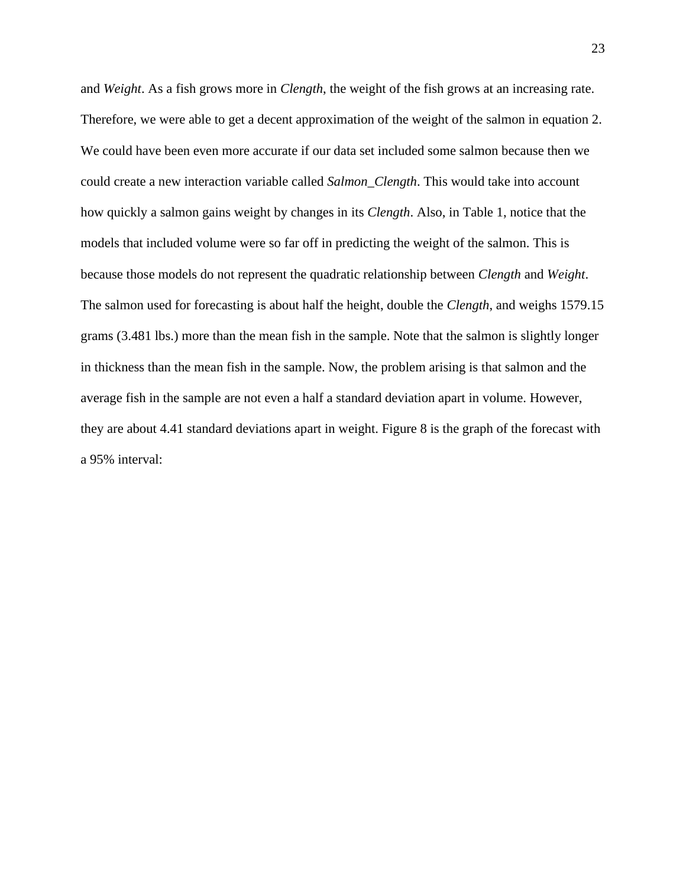and *Weight*. As a fish grows more in *Clength*, the weight of the fish grows at an increasing rate. Therefore, we were able to get a decent approximation of the weight of the salmon in equation 2. We could have been even more accurate if our data set included some salmon because then we could create a new interaction variable called *Salmon\_Clength*. This would take into account how quickly a salmon gains weight by changes in its *Clength*. Also, in Table 1, notice that the models that included volume were so far off in predicting the weight of the salmon. This is because those models do not represent the quadratic relationship between *Clength* and *Weight*. The salmon used for forecasting is about half the height, double the *Clength*, and weighs 1579.15 grams (3.481 lbs.) more than the mean fish in the sample. Note that the salmon is slightly longer in thickness than the mean fish in the sample. Now, the problem arising is that salmon and the average fish in the sample are not even a half a standard deviation apart in volume. However, they are about 4.41 standard deviations apart in weight. Figure 8 is the graph of the forecast with a 95% interval: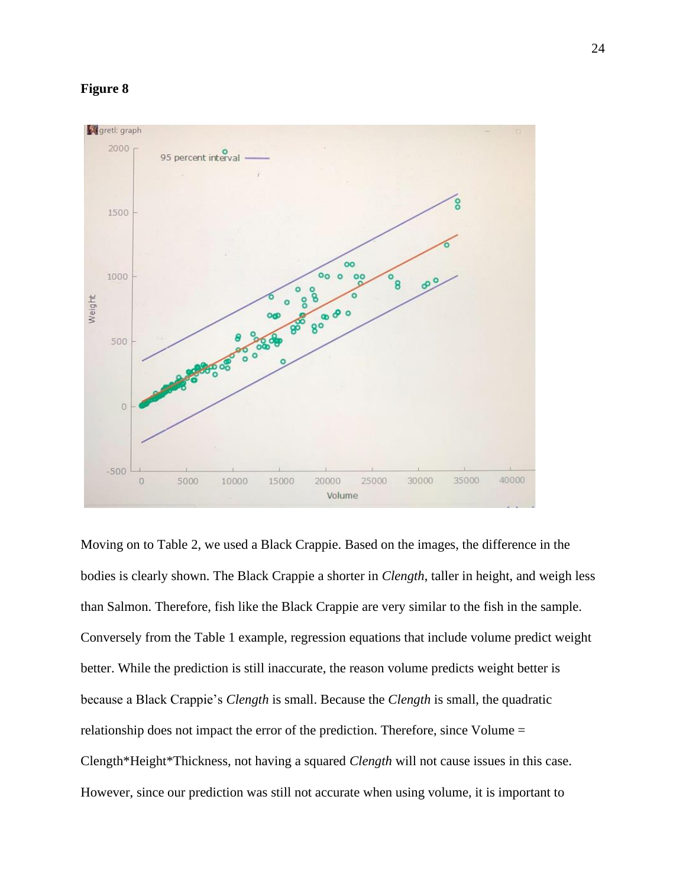## **Figure 8**



Moving on to Table 2, we used a Black Crappie. Based on the images, the difference in the bodies is clearly shown. The Black Crappie a shorter in *Clength*, taller in height, and weigh less than Salmon. Therefore, fish like the Black Crappie are very similar to the fish in the sample. Conversely from the Table 1 example, regression equations that include volume predict weight better. While the prediction is still inaccurate, the reason volume predicts weight better is because a Black Crappie's *Clength* is small. Because the *Clength* is small, the quadratic relationship does not impact the error of the prediction. Therefore, since Volume = Clength\*Height\*Thickness, not having a squared *Clength* will not cause issues in this case. However, since our prediction was still not accurate when using volume, it is important to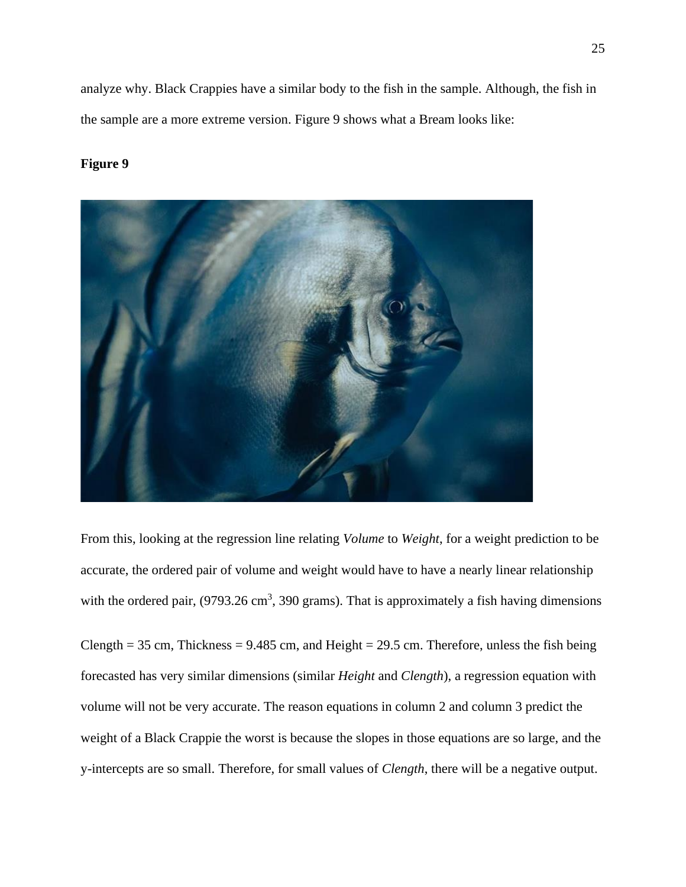analyze why. Black Crappies have a similar body to the fish in the sample. Although, the fish in the sample are a more extreme version. Figure 9 shows what a Bream looks like:

## **Figure 9**



From this, looking at the regression line relating *Volume* to *Weight*, for a weight prediction to be accurate, the ordered pair of volume and weight would have to have a nearly linear relationship with the ordered pair,  $(9793.26 \text{ cm}^3, 390 \text{ grams})$ . That is approximately a fish having dimensions

Clength =  $35 \text{ cm}$ , Thickness =  $9.485 \text{ cm}$ , and Height =  $29.5 \text{ cm}$ . Therefore, unless the fish being forecasted has very similar dimensions (similar *Height* and *Clength*), a regression equation with volume will not be very accurate. The reason equations in column 2 and column 3 predict the weight of a Black Crappie the worst is because the slopes in those equations are so large, and the y-intercepts are so small. Therefore, for small values of *Clength*, there will be a negative output.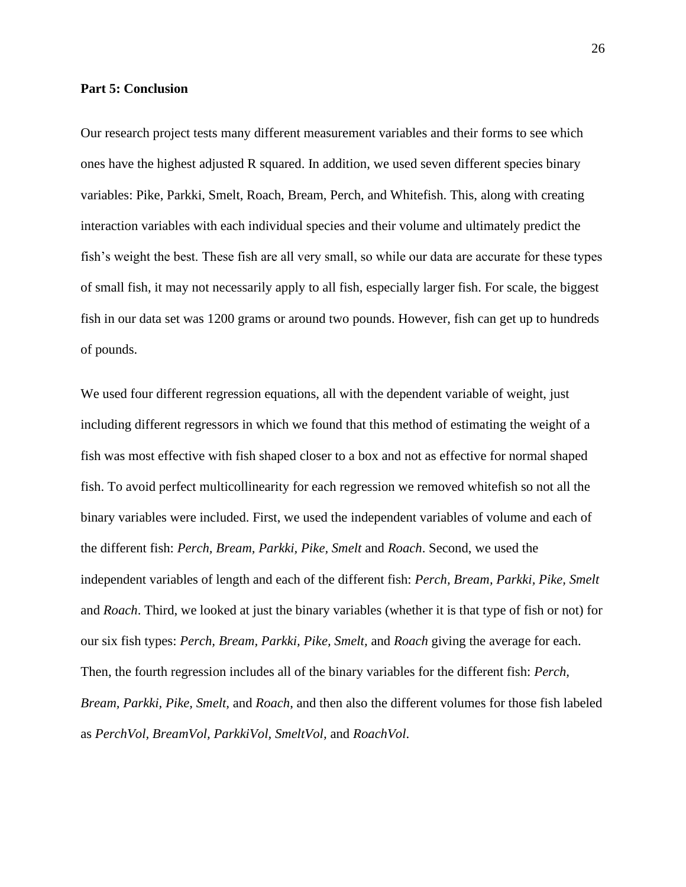#### **Part 5: Conclusion**

Our research project tests many different measurement variables and their forms to see which ones have the highest adjusted R squared. In addition, we used seven different species binary variables: Pike, Parkki, Smelt, Roach, Bream, Perch, and Whitefish. This, along with creating interaction variables with each individual species and their volume and ultimately predict the fish's weight the best. These fish are all very small, so while our data are accurate for these types of small fish, it may not necessarily apply to all fish, especially larger fish. For scale, the biggest fish in our data set was 1200 grams or around two pounds. However, fish can get up to hundreds of pounds.

We used four different regression equations, all with the dependent variable of weight, just including different regressors in which we found that this method of estimating the weight of a fish was most effective with fish shaped closer to a box and not as effective for normal shaped fish. To avoid perfect multicollinearity for each regression we removed whitefish so not all the binary variables were included. First, we used the independent variables of volume and each of the different fish: *Perch, Bream, Parkki, Pike, Smelt* and *Roach*. Second, we used the independent variables of length and each of the different fish: *Perch, Bream, Parkki, Pike, Smelt*  and *Roach*. Third, we looked at just the binary variables (whether it is that type of fish or not) for our six fish types: *Perch, Bream, Parkki, Pike, Smelt,* and *Roach* giving the average for each. Then, the fourth regression includes all of the binary variables for the different fish: *Perch, Bream, Parkki, Pike, Smelt,* and *Roach*, and then also the different volumes for those fish labeled as *PerchVol, BreamVol, ParkkiVol, SmeltVol,* and *RoachVol*.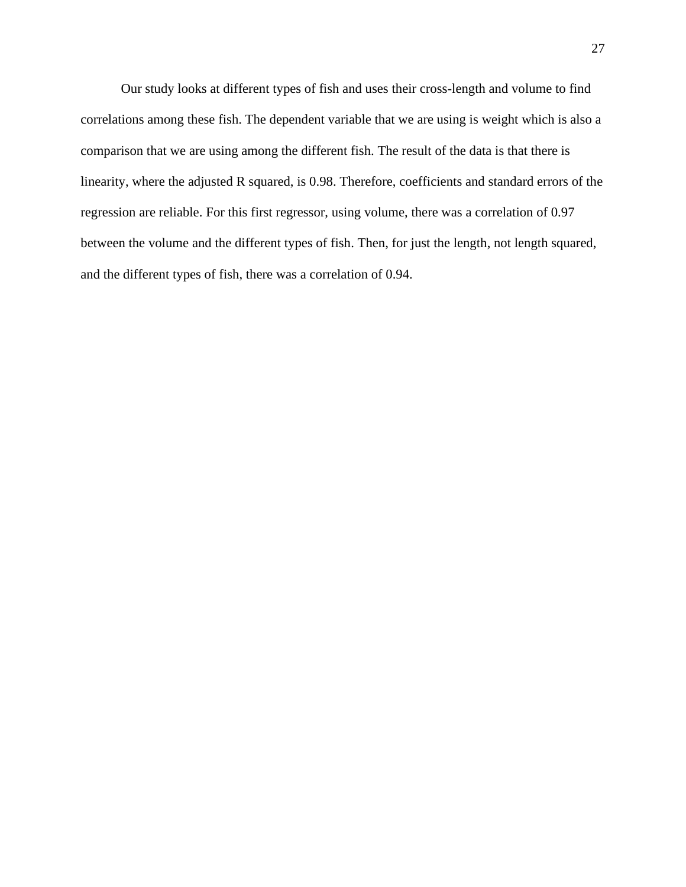Our study looks at different types of fish and uses their cross-length and volume to find correlations among these fish. The dependent variable that we are using is weight which is also a comparison that we are using among the different fish. The result of the data is that there is linearity, where the adjusted R squared, is 0.98. Therefore, coefficients and standard errors of the regression are reliable. For this first regressor, using volume, there was a correlation of 0.97 between the volume and the different types of fish. Then, for just the length, not length squared, and the different types of fish, there was a correlation of 0.94.